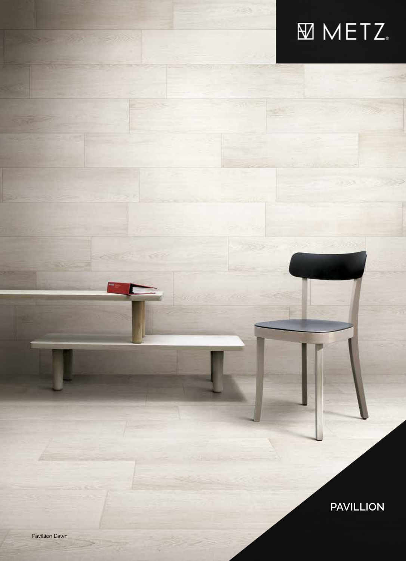# **METZ.**

**PAVILLION**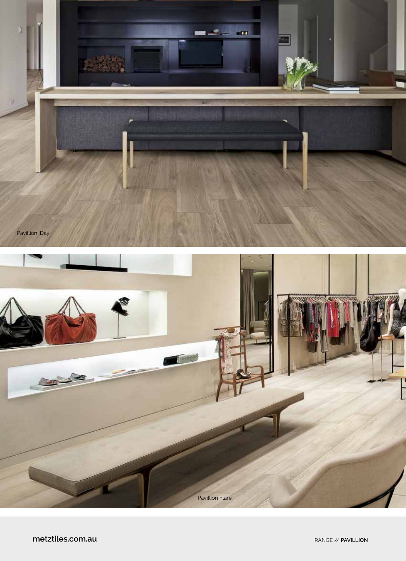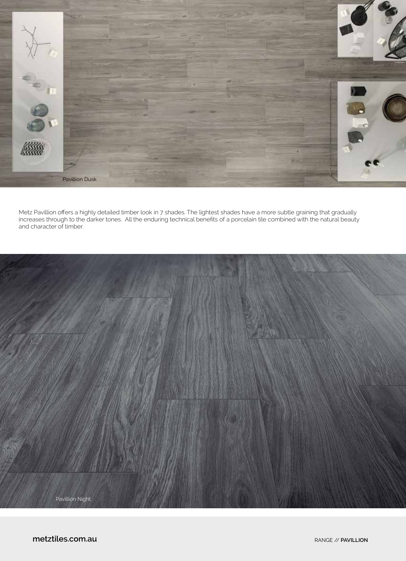

Metz Pavillion offers a highly detailed timber look in 7 shades. The lightest shades have a more subtle graining that gradually increases through to the darker tones. All the enduring technical benefits of a porcelain tile combined with the natural beauty and character of timber.